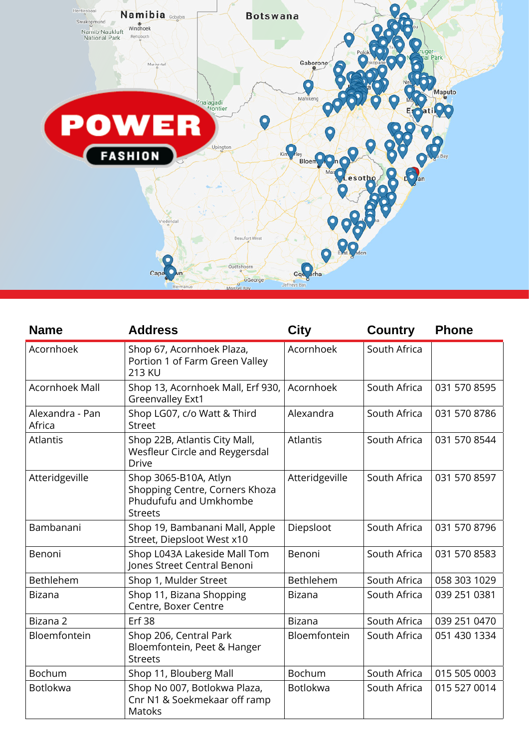

| <b>Name</b>               | <b>Address</b>                                                                                      | <b>City</b>     | <b>Country</b> | <b>Phone</b> |
|---------------------------|-----------------------------------------------------------------------------------------------------|-----------------|----------------|--------------|
| Acornhoek                 | Shop 67, Acornhoek Plaza,<br>Portion 1 of Farm Green Valley<br>213 KU                               | Acornhoek       | South Africa   |              |
| Acornhoek Mall            | Shop 13, Acornhoek Mall, Erf 930,<br><b>Greenvalley Ext1</b>                                        | Acornhoek       | South Africa   | 031 570 8595 |
| Alexandra - Pan<br>Africa | Shop LG07, c/o Watt & Third<br><b>Street</b>                                                        | Alexandra       | South Africa   | 031 570 8786 |
| <b>Atlantis</b>           | Shop 22B, Atlantis City Mall,<br>Wesfleur Circle and Reygersdal<br><b>Drive</b>                     | <b>Atlantis</b> | South Africa   | 031 570 8544 |
| Atteridgeville            | Shop 3065-B10A, Atlyn<br>Shopping Centre, Corners Khoza<br>Phudufufu and Umkhombe<br><b>Streets</b> | Atteridgeville  | South Africa   | 031 570 8597 |
| Bambanani                 | Shop 19, Bambanani Mall, Apple<br>Street, Diepsloot West x10                                        | Diepsloot       | South Africa   | 031 570 8796 |
| Benoni                    | Shop L043A Lakeside Mall Tom<br>Jones Street Central Benoni                                         | Benoni          | South Africa   | 031 570 8583 |
| Bethlehem                 | Shop 1, Mulder Street                                                                               | Bethlehem       | South Africa   | 058 303 1029 |
| <b>Bizana</b>             | Shop 11, Bizana Shopping<br>Centre, Boxer Centre                                                    | <b>Bizana</b>   | South Africa   | 039 251 0381 |
| Bizana 2                  | <b>Erf 38</b>                                                                                       | <b>Bizana</b>   | South Africa   | 039 251 0470 |
| Bloemfontein              | Shop 206, Central Park<br>Bloemfontein, Peet & Hanger<br><b>Streets</b>                             | Bloemfontein    | South Africa   | 051 430 1334 |
| Bochum                    | Shop 11, Blouberg Mall                                                                              | <b>Bochum</b>   | South Africa   | 015 505 0003 |
| Botlokwa                  | Shop No 007, Botlokwa Plaza,<br>Cnr N1 & Soekmekaar off ramp<br><b>Matoks</b>                       | <b>Botlokwa</b> | South Africa   | 015 527 0014 |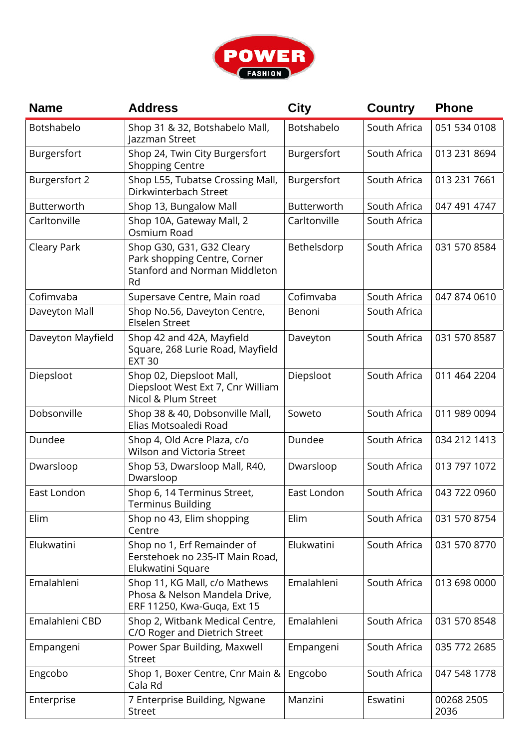

| <b>Name</b>          | <b>Address</b>                                                                                          | <b>City</b>  | <b>Country</b> | <b>Phone</b>       |
|----------------------|---------------------------------------------------------------------------------------------------------|--------------|----------------|--------------------|
| Botshabelo           | Shop 31 & 32, Botshabelo Mall,<br>Jazzman Street                                                        | Botshabelo   | South Africa   | 051 534 0108       |
| Burgersfort          | Shop 24, Twin City Burgersfort<br><b>Shopping Centre</b>                                                | Burgersfort  | South Africa   | 013 231 8694       |
| <b>Burgersfort 2</b> | Shop L55, Tubatse Crossing Mall,<br>Dirkwinterbach Street                                               | Burgersfort  | South Africa   | 013 231 7661       |
| Butterworth          | Shop 13, Bungalow Mall                                                                                  | Butterworth  | South Africa   | 047 491 4747       |
| Carltonville         | Shop 10A, Gateway Mall, 2<br>Osmium Road                                                                | Carltonville | South Africa   |                    |
| Cleary Park          | Shop G30, G31, G32 Cleary<br>Park shopping Centre, Corner<br><b>Stanford and Norman Middleton</b><br>Rd | Bethelsdorp  | South Africa   | 031 570 8584       |
| Cofimvaba            | Supersave Centre, Main road                                                                             | Cofimvaba    | South Africa   | 047 874 0610       |
| Daveyton Mall        | Shop No.56, Daveyton Centre,<br><b>Elselen Street</b>                                                   | Benoni       | South Africa   |                    |
| Daveyton Mayfield    | Shop 42 and 42A, Mayfield<br>Square, 268 Lurie Road, Mayfield<br><b>EXT 30</b>                          | Daveyton     | South Africa   | 031 570 8587       |
| Diepsloot            | Shop 02, Diepsloot Mall,<br>Diepsloot West Ext 7, Cnr William<br>Nicol & Plum Street                    | Diepsloot    | South Africa   | 011 464 2204       |
| Dobsonville          | Shop 38 & 40, Dobsonville Mall,<br>Elias Motsoaledi Road                                                | Soweto       | South Africa   | 011 989 0094       |
| Dundee               | Shop 4, Old Acre Plaza, c/o<br>Wilson and Victoria Street                                               | Dundee       | South Africa   | 034 212 1413       |
| Dwarsloop            | Shop 53, Dwarsloop Mall, R40,<br>Dwarsloop                                                              | Dwarsloop    | South Africa   | 013 797 1072       |
| East London          | Shop 6, 14 Terminus Street,<br><b>Terminus Building</b>                                                 | East London  | South Africa   | 043 722 0960       |
| Elim                 | Shop no 43, Elim shopping<br>Centre                                                                     | Elim         | South Africa   | 031 570 8754       |
| Elukwatini           | Shop no 1, Erf Remainder of<br>Eerstehoek no 235-IT Main Road,<br>Elukwatini Square                     | Elukwatini   | South Africa   | 031 570 8770       |
| Emalahleni           | Shop 11, KG Mall, c/o Mathews<br>Phosa & Nelson Mandela Drive,<br>ERF 11250, Kwa-Guqa, Ext 15           | Emalahleni   | South Africa   | 013 698 0000       |
| Emalahleni CBD       | Shop 2, Witbank Medical Centre,<br>C/O Roger and Dietrich Street                                        | Emalahleni   | South Africa   | 031 570 8548       |
| Empangeni            | Power Spar Building, Maxwell<br><b>Street</b>                                                           | Empangeni    | South Africa   | 035 772 2685       |
| Engcobo              | Shop 1, Boxer Centre, Cnr Main &<br>Cala Rd                                                             | Engcobo      | South Africa   | 047 548 1778       |
| Enterprise           | 7 Enterprise Building, Ngwane<br>Street                                                                 | Manzini      | Eswatini       | 00268 2505<br>2036 |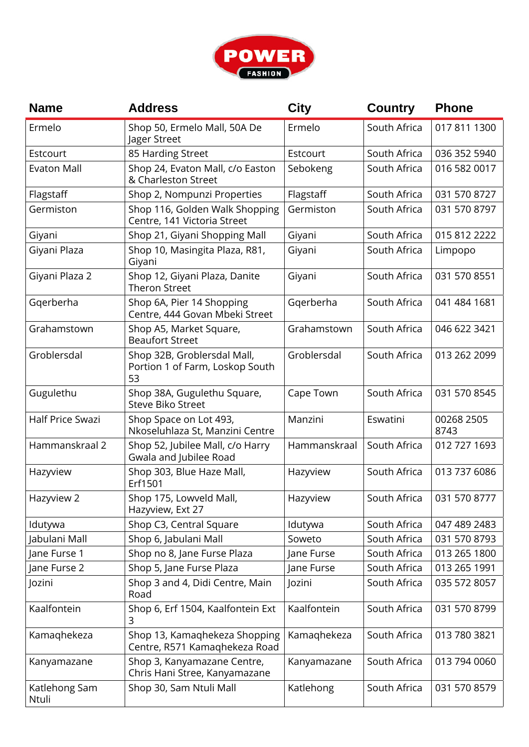

| <b>Name</b>            | <b>Address</b>                                                       | <b>City</b>  | <b>Country</b> | <b>Phone</b>       |
|------------------------|----------------------------------------------------------------------|--------------|----------------|--------------------|
| Ermelo                 | Shop 50, Ermelo Mall, 50A De<br>Jager Street                         | Ermelo       | South Africa   | 017 811 1300       |
| Estcourt               | 85 Harding Street                                                    | Estcourt     | South Africa   | 036 352 5940       |
| <b>Evaton Mall</b>     | Shop 24, Evaton Mall, c/o Easton<br>& Charleston Street              | Sebokeng     | South Africa   | 016 582 0017       |
| Flagstaff              | Shop 2, Nompunzi Properties                                          | Flagstaff    | South Africa   | 031 570 8727       |
| Germiston              | Shop 116, Golden Walk Shopping<br>Centre, 141 Victoria Street        | Germiston    | South Africa   | 031 570 8797       |
| Giyani                 | Shop 21, Giyani Shopping Mall                                        | Giyani       | South Africa   | 015 812 2222       |
| Giyani Plaza           | Shop 10, Masingita Plaza, R81,<br>Giyani                             | Giyani       | South Africa   | Limpopo            |
| Giyani Plaza 2         | Shop 12, Giyani Plaza, Danite<br><b>Theron Street</b>                | Giyani       | South Africa   | 031 570 8551       |
| Gqerberha              | Shop 6A, Pier 14 Shopping<br>Centre, 444 Govan Mbeki Street          | Gqerberha    | South Africa   | 041 484 1681       |
| Grahamstown            | Shop A5, Market Square,<br><b>Beaufort Street</b>                    | Grahamstown  | South Africa   | 046 622 3421       |
| Groblersdal            | Shop 32B, Groblersdal Mall,<br>Portion 1 of Farm, Loskop South<br>53 | Groblersdal  | South Africa   | 013 262 2099       |
| Gugulethu              | Shop 38A, Gugulethu Square,<br><b>Steve Biko Street</b>              | Cape Town    | South Africa   | 031 570 8545       |
| Half Price Swazi       | Shop Space on Lot 493,<br>Nkoseluhlaza St, Manzini Centre            | Manzini      | Eswatini       | 00268 2505<br>8743 |
| Hammanskraal 2         | Shop 52, Jubilee Mall, c/o Harry<br>Gwala and Jubilee Road           | Hammanskraal | South Africa   | 012 727 1693       |
| Hazyview               | Shop 303, Blue Haze Mall,<br>Erf1501                                 | Hazyview     | South Africa   | 013 737 6086       |
| Hazyview 2             | Shop 175, Lowveld Mall,<br>Hazyview, Ext 27                          | Hazyview     | South Africa   | 031 570 8777       |
| Idutywa                | Shop C3, Central Square                                              | Idutywa      | South Africa   | 047 489 2483       |
| Jabulani Mall          | Shop 6, Jabulani Mall                                                | Soweto       | South Africa   | 031 570 8793       |
| Jane Furse 1           | Shop no 8, Jane Furse Plaza                                          | Jane Furse   | South Africa   | 013 265 1800       |
| Jane Furse 2           | Shop 5, Jane Furse Plaza                                             | Jane Furse   | South Africa   | 013 265 1991       |
| Jozini                 | Shop 3 and 4, Didi Centre, Main<br>Road                              | Jozini       | South Africa   | 035 572 8057       |
| Kaalfontein            | Shop 6, Erf 1504, Kaalfontein Ext<br>3                               | Kaalfontein  | South Africa   | 031 570 8799       |
| Kamaqhekeza            | Shop 13, Kamaqhekeza Shopping<br>Centre, R571 Kamaqhekeza Road       | Kamaqhekeza  | South Africa   | 013 780 3821       |
| Kanyamazane            | Shop 3, Kanyamazane Centre,<br>Chris Hani Stree, Kanyamazane         | Kanyamazane  | South Africa   | 013 794 0060       |
| Katlehong Sam<br>Ntuli | Shop 30, Sam Ntuli Mall                                              | Katlehong    | South Africa   | 031 570 8579       |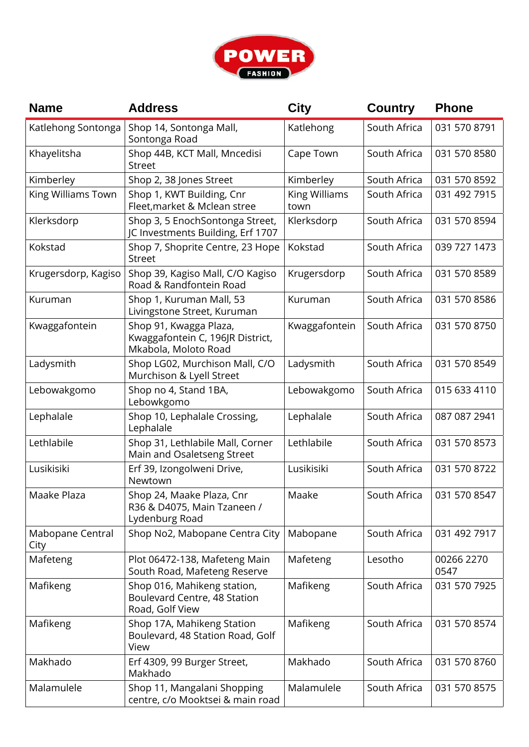

| <b>Name</b>              | <b>Address</b>                                                                     | <b>City</b>           | <b>Country</b> | <b>Phone</b>       |
|--------------------------|------------------------------------------------------------------------------------|-----------------------|----------------|--------------------|
| Katlehong Sontonga       | Shop 14, Sontonga Mall,<br>Sontonga Road                                           | Katlehong             | South Africa   | 031 570 8791       |
| Khayelitsha              | Shop 44B, KCT Mall, Mncedisi<br><b>Street</b>                                      | Cape Town             | South Africa   | 031 570 8580       |
| Kimberley                | Shop 2, 38 Jones Street                                                            | Kimberley             | South Africa   | 031 570 8592       |
| King Williams Town       | Shop 1, KWT Building, Cnr<br>Fleet, market & Mclean stree                          | King Williams<br>town | South Africa   | 031 492 7915       |
| Klerksdorp               | Shop 3, 5 EnochSontonga Street,<br>JC Investments Building, Erf 1707               | Klerksdorp            | South Africa   | 031 570 8594       |
| Kokstad                  | Shop 7, Shoprite Centre, 23 Hope<br><b>Street</b>                                  | Kokstad               | South Africa   | 039 727 1473       |
| Krugersdorp, Kagiso      | Shop 39, Kagiso Mall, C/O Kagiso<br>Road & Randfontein Road                        | Krugersdorp           | South Africa   | 031 570 8589       |
| Kuruman                  | Shop 1, Kuruman Mall, 53<br>Livingstone Street, Kuruman                            | Kuruman               | South Africa   | 031 570 8586       |
| Kwaggafontein            | Shop 91, Kwagga Plaza,<br>Kwaggafontein C, 196JR District,<br>Mkabola, Moloto Road | Kwaggafontein         | South Africa   | 031 570 8750       |
| Ladysmith                | Shop LG02, Murchison Mall, C/O<br>Murchison & Lyell Street                         | Ladysmith             | South Africa   | 031 570 8549       |
| Lebowakgomo              | Shop no 4, Stand 1BA,<br>Lebowkgomo                                                | Lebowakgomo           | South Africa   | 015 633 4110       |
| Lephalale                | Shop 10, Lephalale Crossing,<br>Lephalale                                          | Lephalale             | South Africa   | 087 087 2941       |
| Lethlabile               | Shop 31, Lethlabile Mall, Corner<br>Main and Osaletseng Street                     | Lethlabile            | South Africa   | 031 570 8573       |
| Lusikisiki               | Erf 39, Izongolweni Drive,<br>Newtown                                              | Lusikisiki            | South Africa   | 031 570 8722       |
| Maake Plaza              | Shop 24, Maake Plaza, Cnr<br>R36 & D4075, Main Tzaneen /<br>Lydenburg Road         | Maake                 | South Africa   | 031 570 8547       |
| Mabopane Central<br>City | Shop No2, Mabopane Centra City                                                     | Mabopane              | South Africa   | 031 492 7917       |
| Mafeteng                 | Plot 06472-138, Mafeteng Main<br>South Road, Mafeteng Reserve                      | Mafeteng              | Lesotho        | 00266 2270<br>0547 |
| Mafikeng                 | Shop 016, Mahikeng station,<br>Boulevard Centre, 48 Station<br>Road, Golf View     | Mafikeng              | South Africa   | 031 570 7925       |
| Mafikeng                 | Shop 17A, Mahikeng Station<br>Boulevard, 48 Station Road, Golf<br>View             | Mafikeng              | South Africa   | 031 570 8574       |
| Makhado                  | Erf 4309, 99 Burger Street,<br>Makhado                                             | Makhado               | South Africa   | 031 570 8760       |
| Malamulele               | Shop 11, Mangalani Shopping<br>centre, c/o Mooktsei & main road                    | Malamulele            | South Africa   | 031 570 8575       |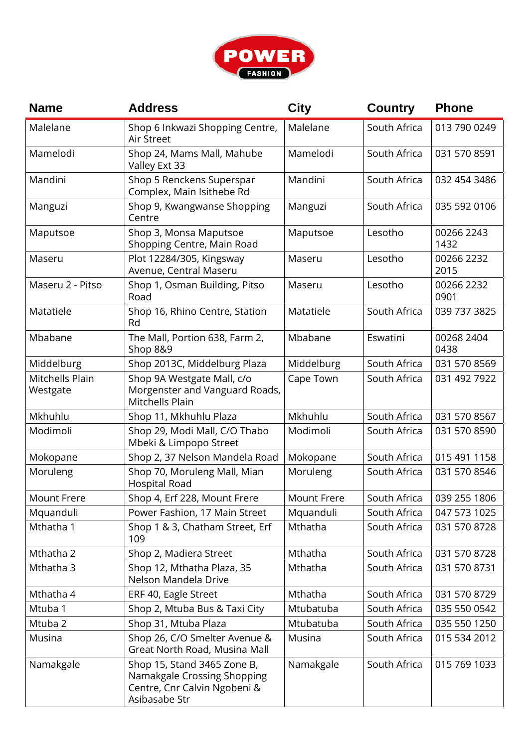

| <b>Name</b>                 | <b>Address</b>                                                                                              | <b>City</b> | <b>Country</b> | <b>Phone</b>       |
|-----------------------------|-------------------------------------------------------------------------------------------------------------|-------------|----------------|--------------------|
| Malelane                    | Shop 6 Inkwazi Shopping Centre,<br>Air Street                                                               | Malelane    | South Africa   | 013 790 0249       |
| Mamelodi                    | Shop 24, Mams Mall, Mahube<br>Valley Ext 33                                                                 | Mamelodi    | South Africa   | 031 570 8591       |
| Mandini                     | Shop 5 Renckens Superspar<br>Complex, Main Isithebe Rd                                                      | Mandini     | South Africa   | 032 454 3486       |
| Manguzi                     | Shop 9, Kwangwanse Shopping<br>Centre                                                                       | Manguzi     | South Africa   | 035 592 0106       |
| Maputsoe                    | Shop 3, Monsa Maputsoe<br>Shopping Centre, Main Road                                                        | Maputsoe    | Lesotho        | 00266 2243<br>1432 |
| Maseru                      | Plot 12284/305, Kingsway<br>Avenue, Central Maseru                                                          | Maseru      | Lesotho        | 00266 2232<br>2015 |
| Maseru 2 - Pitso            | Shop 1, Osman Building, Pitso<br>Road                                                                       | Maseru      | Lesotho        | 00266 2232<br>0901 |
| Matatiele                   | Shop 16, Rhino Centre, Station<br>Rd                                                                        | Matatiele   | South Africa   | 039 737 3825       |
| Mbabane                     | The Mall, Portion 638, Farm 2,<br><b>Shop 8&amp;9</b>                                                       | Mbabane     | Eswatini       | 00268 2404<br>0438 |
| Middelburg                  | Shop 2013C, Middelburg Plaza                                                                                | Middelburg  | South Africa   | 031 570 8569       |
| Mitchells Plain<br>Westgate | Shop 9A Westgate Mall, c/o<br>Morgenster and Vanguard Roads,<br>Mitchells Plain                             | Cape Town   | South Africa   | 031 492 7922       |
| Mkhuhlu                     | Shop 11, Mkhuhlu Plaza                                                                                      | Mkhuhlu     | South Africa   | 031 570 8567       |
| Modimoli                    | Shop 29, Modi Mall, C/O Thabo<br>Mbeki & Limpopo Street                                                     | Modimoli    | South Africa   | 031 570 8590       |
| Mokopane                    | Shop 2, 37 Nelson Mandela Road                                                                              | Mokopane    | South Africa   | 015 491 1158       |
| Moruleng                    | Shop 70, Moruleng Mall, Mian<br><b>Hospital Road</b>                                                        | Moruleng    | South Africa   | 031 570 8546       |
| <b>Mount Frere</b>          | Shop 4, Erf 228, Mount Frere                                                                                | Mount Frere | South Africa   | 039 255 1806       |
| Mquanduli                   | Power Fashion, 17 Main Street                                                                               | Mquanduli   | South Africa   | 047 573 1025       |
| Mthatha 1                   | Shop 1 & 3, Chatham Street, Erf<br>109                                                                      | Mthatha     | South Africa   | 031 570 8728       |
| Mthatha 2                   | Shop 2, Madiera Street                                                                                      | Mthatha     | South Africa   | 031 570 8728       |
| Mthatha 3                   | Shop 12, Mthatha Plaza, 35<br>Nelson Mandela Drive                                                          | Mthatha     | South Africa   | 031 570 8731       |
| Mthatha 4                   | ERF 40, Eagle Street                                                                                        | Mthatha     | South Africa   | 031 570 8729       |
| Mtuba 1                     | Shop 2, Mtuba Bus & Taxi City                                                                               | Mtubatuba   | South Africa   | 035 550 0542       |
| Mtuba 2                     | Shop 31, Mtuba Plaza                                                                                        | Mtubatuba   | South Africa   | 035 550 1250       |
| Musina                      | Shop 26, C/O Smelter Avenue &<br>Great North Road, Musina Mall                                              | Musina      | South Africa   | 015 534 2012       |
| Namakgale                   | Shop 15, Stand 3465 Zone B,<br>Namakgale Crossing Shopping<br>Centre, Cnr Calvin Ngobeni &<br>Asibasabe Str | Namakgale   | South Africa   | 015 769 1033       |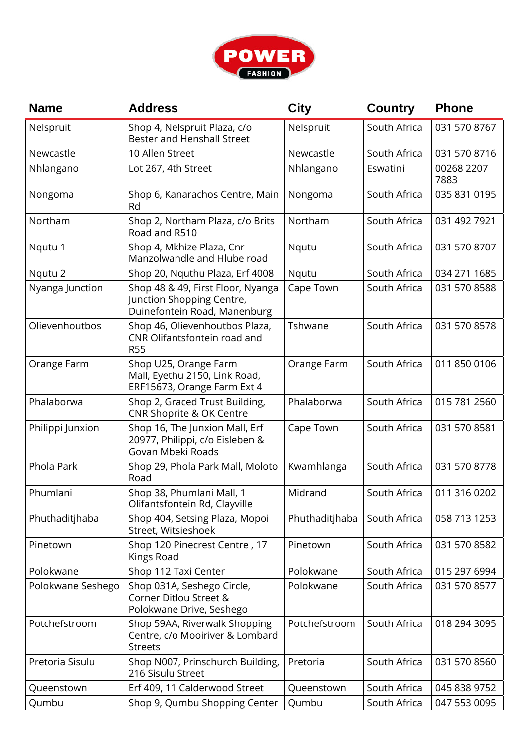

| <b>Name</b>       | <b>Address</b>                                                                                 | <b>City</b>    | <b>Country</b> | <b>Phone</b>       |
|-------------------|------------------------------------------------------------------------------------------------|----------------|----------------|--------------------|
| Nelspruit         | Shop 4, Nelspruit Plaza, c/o<br><b>Bester and Henshall Street</b>                              | Nelspruit      | South Africa   | 031 570 8767       |
| Newcastle         | 10 Allen Street                                                                                | Newcastle      | South Africa   | 031 570 8716       |
| Nhlangano         | Lot 267, 4th Street                                                                            | Nhlangano      | Eswatini       | 00268 2207<br>7883 |
| Nongoma           | Shop 6, Kanarachos Centre, Main<br>Rd                                                          | Nongoma        | South Africa   | 035 831 0195       |
| Northam           | Shop 2, Northam Plaza, c/o Brits<br>Road and R510                                              | Northam        | South Africa   | 031 492 7921       |
| Nqutu 1           | Shop 4, Mkhize Plaza, Cnr<br>Manzolwandle and Hlube road                                       | Nqutu          | South Africa   | 031 570 8707       |
| Nqutu 2           | Shop 20, Nguthu Plaza, Erf 4008                                                                | Nqutu          | South Africa   | 034 271 1685       |
| Nyanga Junction   | Shop 48 & 49, First Floor, Nyanga<br>Junction Shopping Centre,<br>Duinefontein Road, Manenburg | Cape Town      | South Africa   | 031 570 8588       |
| Olievenhoutbos    | Shop 46, Olievenhoutbos Plaza,<br>CNR Olifantsfontein road and<br><b>R55</b>                   | Tshwane        | South Africa   | 031 570 8578       |
| Orange Farm       | Shop U25, Orange Farm<br>Mall, Eyethu 2150, Link Road,<br>ERF15673, Orange Farm Ext 4          | Orange Farm    | South Africa   | 011 850 0106       |
| Phalaborwa        | Shop 2, Graced Trust Building,<br>CNR Shoprite & OK Centre                                     | Phalaborwa     | South Africa   | 015 781 2560       |
| Philippi Junxion  | Shop 16, The Junxion Mall, Erf<br>20977, Philippi, c/o Eisleben &<br>Govan Mbeki Roads         | Cape Town      | South Africa   | 031 570 8581       |
| Phola Park        | Shop 29, Phola Park Mall, Moloto<br>Road                                                       | Kwamhlanga     | South Africa   | 031 570 8778       |
| Phumlani          | Shop 38, Phumlani Mall, 1<br>Olifantsfontein Rd, Clayville                                     | Midrand        | South Africa   | 011 316 0202       |
| Phuthaditjhaba    | Shop 404, Setsing Plaza, Mopoi<br>Street, Witsieshoek                                          | Phuthaditjhaba | South Africa   | 058 713 1253       |
| Pinetown          | Shop 120 Pinecrest Centre, 17<br>Kings Road                                                    | Pinetown       | South Africa   | 031 570 8582       |
| Polokwane         | Shop 112 Taxi Center                                                                           | Polokwane      | South Africa   | 015 297 6994       |
| Polokwane Seshego | Shop 031A, Seshego Circle,<br>Corner Ditlou Street &<br>Polokwane Drive, Seshego               | Polokwane      | South Africa   | 031 570 8577       |
| Potchefstroom     | Shop 59AA, Riverwalk Shopping<br>Centre, c/o Mooiriver & Lombard<br><b>Streets</b>             | Potchefstroom  | South Africa   | 018 294 3095       |
| Pretoria Sisulu   | Shop N007, Prinschurch Building,<br>216 Sisulu Street                                          | Pretoria       | South Africa   | 031 570 8560       |
| Queenstown        | Erf 409, 11 Calderwood Street                                                                  | Queenstown     | South Africa   | 045 838 9752       |
| Qumbu             | Shop 9, Qumbu Shopping Center                                                                  | Qumbu          | South Africa   | 047 553 0095       |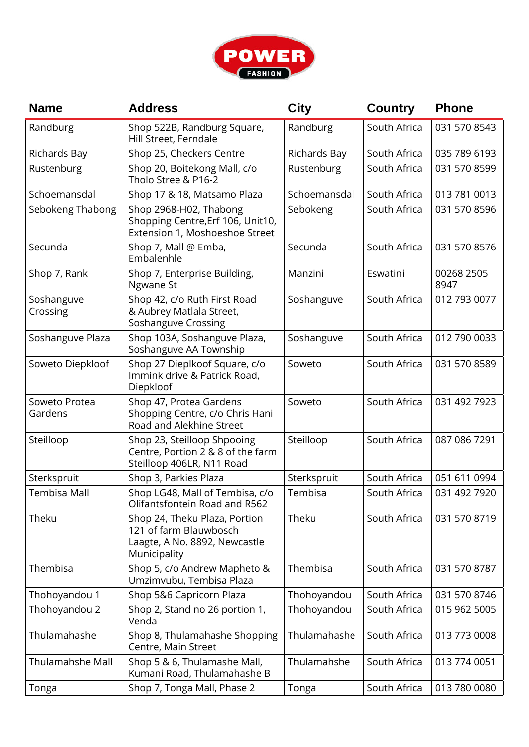

| <b>Name</b>              | <b>Address</b>                                                                                           | <b>City</b>         | <b>Country</b> | <b>Phone</b>       |
|--------------------------|----------------------------------------------------------------------------------------------------------|---------------------|----------------|--------------------|
| Randburg                 | Shop 522B, Randburg Square,<br>Hill Street, Ferndale                                                     | Randburg            | South Africa   | 031 570 8543       |
| Richards Bay             | Shop 25, Checkers Centre                                                                                 | <b>Richards Bay</b> | South Africa   | 035 789 6193       |
| Rustenburg               | Shop 20, Boitekong Mall, c/o<br>Tholo Stree & P16-2                                                      | Rustenburg          | South Africa   | 031 570 8599       |
| Schoemansdal             | Shop 17 & 18, Matsamo Plaza                                                                              | Schoemansdal        | South Africa   | 013 781 0013       |
| Sebokeng Thabong         | Shop 2968-H02, Thabong<br>Shopping Centre, Erf 106, Unit10,<br>Extension 1, Moshoeshoe Street            | Sebokeng            | South Africa   | 031 570 8596       |
| Secunda                  | Shop 7, Mall @ Emba,<br>Embalenhle                                                                       | Secunda             | South Africa   | 031 570 8576       |
| Shop 7, Rank             | Shop 7, Enterprise Building,<br>Ngwane St                                                                | Manzini             | Eswatini       | 00268 2505<br>8947 |
| Soshanguve<br>Crossing   | Shop 42, c/o Ruth First Road<br>& Aubrey Matlala Street,<br>Soshanguve Crossing                          | Soshanguve          | South Africa   | 012 793 0077       |
| Soshanguve Plaza         | Shop 103A, Soshanguve Plaza,<br>Soshanguve AA Township                                                   | Soshanguve          | South Africa   | 012 790 0033       |
| Soweto Diepkloof         | Shop 27 Dieplkoof Square, c/o<br>Immink drive & Patrick Road,<br>Diepkloof                               | Soweto              | South Africa   | 031 570 8589       |
| Soweto Protea<br>Gardens | Shop 47, Protea Gardens<br>Shopping Centre, c/o Chris Hani<br>Road and Alekhine Street                   | Soweto              | South Africa   | 031 492 7923       |
| Steilloop                | Shop 23, Steilloop Shpooing<br>Centre, Portion 2 & 8 of the farm<br>Steilloop 406LR, N11 Road            | Steilloop           | South Africa   | 087 086 7291       |
| Sterkspruit              | Shop 3, Parkies Plaza                                                                                    | Sterkspruit         | South Africa   | 051 611 0994       |
| <b>Tembisa Mall</b>      | Shop LG48, Mall of Tembisa, c/o<br>Olifantsfontein Road and R562                                         | Tembisa             | South Africa   | 031 492 7920       |
| Theku                    | Shop 24, Theku Plaza, Portion<br>121 of farm Blauwbosch<br>Laagte, A No. 8892, Newcastle<br>Municipality | Theku               | South Africa   | 031 570 8719       |
| Thembisa                 | Shop 5, c/o Andrew Mapheto &<br>Umzimvubu, Tembisa Plaza                                                 | Thembisa            | South Africa   | 031 570 8787       |
| Thohoyandou 1            | Shop 5&6 Capricorn Plaza                                                                                 | Thohoyandou         | South Africa   | 031 570 8746       |
| Thohoyandou 2            | Shop 2, Stand no 26 portion 1,<br>Venda                                                                  | Thohoyandou         | South Africa   | 015 962 5005       |
| Thulamahashe             | Shop 8, Thulamahashe Shopping<br>Centre, Main Street                                                     | Thulamahashe        | South Africa   | 013 773 0008       |
| <b>Thulamahshe Mall</b>  | Shop 5 & 6, Thulamashe Mall,<br>Kumani Road, Thulamahashe B                                              | Thulamahshe         | South Africa   | 013 774 0051       |
| Tonga                    | Shop 7, Tonga Mall, Phase 2                                                                              | Tonga               | South Africa   | 013 780 0080       |